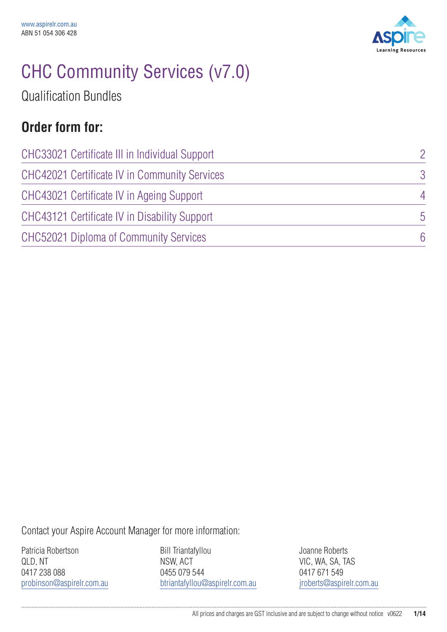

# CHC Community Services (v7.0)

Qualification Bundles

### **Order form for:**

| CHC33021 Certificate III in Individual Support       | $\mathcal{P}$   |
|------------------------------------------------------|-----------------|
| <b>CHC42021 Certificate IV in Community Services</b> | 3               |
| CHC43021 Certificate IV in Ageing Support            | 4               |
| CHC43121 Certificate IV in Disability Support        | $\sqrt{5}$      |
| CHC52021 Diploma of Community Services               | $6\overline{6}$ |

Contact your Aspire Account Manager for more information:

Patricia Robertson QLD, NT 0417 238 088 probinson@aspirelr.com.au Bill Triantafyllou NSW, ACT 0455 079 544 btriantafyllou@aspirelr.com.au Joanne Roberts VIC, WA, SA, TAS 0417 671 549 jroberts@aspirelr.com.au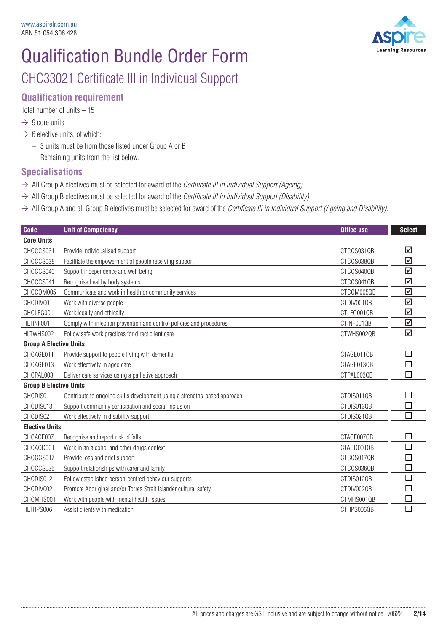

### CHC33021 Certificate III in Individual Support

#### **Qualification requirement**

Total number of units  $-15$ 

- $\rightarrow$  9 core units
- $\rightarrow$  6 elective units, of which:
	- 3 units must be from those listed under Group A or B
	- Remaining units from the list below.

#### **Specialisations**

- $\rightarrow$  All Group A electives must be selected for award of the *Certificate III in Individual Support (Ageing)*.
- $\rightarrow$  All Group B electives must be selected for award of the *Certificate III in Individual Support (Disability)*.
- $\rightarrow$  All Group A and all Group B electives must be selected for award of the *Certificate III in Individual Support (Ageing and Disability)*.

| <b>Code</b>                   | <b>Unit of Competency</b>                                                 | Office use | <b>Select</b>               |
|-------------------------------|---------------------------------------------------------------------------|------------|-----------------------------|
| <b>Core Units</b>             |                                                                           |            |                             |
| CHCCCS031                     | Provide individualised support                                            | CTCCS031QB | ☑                           |
| CHCCCS038                     | Facilitate the empowerment of people receiving support                    | CTCCS038QB | ☑                           |
| CHCCCS040                     | Support independence and well being                                       | CTCCS040QB | ☑                           |
| CHCCCS041                     | Recognise healthy body systems                                            | CTCCS041QB | ☑                           |
| CHCCOM005                     | Communicate and work in health or community services                      | CTCOM005QB | ☑                           |
| CHCDIV001                     | Work with diverse people                                                  | CTDIV001QB | ☑                           |
| CHCLEG001                     | Work legally and ethically                                                | CTLEG001QB | ☑                           |
| HLTINF001                     | Comply with infection prevention and control policies and procedures      | CTINF001QB | ☑                           |
| HLTWHS002                     | Follow safe work practices for direct client care                         | CTWHS002QB | ☑                           |
| <b>Group A Elective Units</b> |                                                                           |            |                             |
| CHCAGE011                     | Provide support to people living with dementia                            | CTAGE011QB | $\overline{\phantom{0}}$    |
| CHCAGE013                     | Work effectively in aged care                                             | CTAGE013QB |                             |
| CHCPAL003                     | Deliver care services using a palliative approach                         | CTPAL003QB | $\Box$                      |
| <b>Group B Elective Units</b> |                                                                           |            |                             |
| CHCDIS011                     | Contribute to ongoing skills development using a strengths-based approach | CTDIS011QB | $\Box$                      |
| CHCDIS013                     | Support community participation and social inclusion                      | CTDIS013QB | $\sim$                      |
| CHCDIS021                     | Work effectively in disability support                                    | CTDIS021QB | П                           |
| <b>Elective Units</b>         |                                                                           |            |                             |
| CHCAGE007                     | Recognise and report risk of falls                                        | CTAGE007QB | $\sim$                      |
| CHCAOD001                     | Work in an alcohol and other drugs context                                | CTAOD001QB | П                           |
| CHCCCS017                     | Provide loss and grief support                                            | CTCCS017QB | $\Box$                      |
| CHCCCS036                     | Support relationships with carer and family                               | CTCCS036QB |                             |
| CHCDIS012                     | Follow established person-centred behaviour supports                      | CTDIS012QB | $\mathcal{L}_{\mathcal{A}}$ |
| CHCDIV002                     | Promote Aboriginal and/or Torres Strait Islander cultural safety          | CTDIV002QB | $\Box$                      |
| CHCMHS001                     | Work with people with mental health issues                                | CTMHS001QB |                             |
| HLTHPS006                     | Assist clients with medication                                            | CTHPS006QB |                             |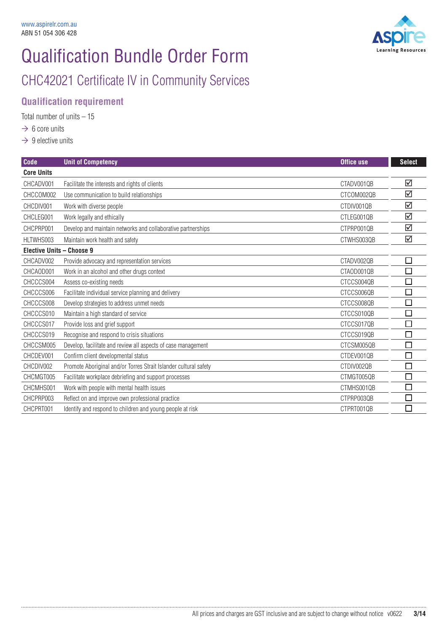

### CHC42021 Certificate IV in Community Services

#### **Qualification requirement**

Total number of units  $-15$ 

 $\rightarrow 6$  core units

 $\rightarrow$  9 elective units

| Code                             | <b>Unit of Competency</b>                                        | Office use | <b>Select</b>            |
|----------------------------------|------------------------------------------------------------------|------------|--------------------------|
| <b>Core Units</b>                |                                                                  |            |                          |
| CHCADV001                        | Facilitate the interests and rights of clients                   | CTADV001QB | ☑                        |
| CHCCOM002                        | Use communication to build relationships                         | CTCOM002QB | ☑                        |
| CHCDIV001                        | Work with diverse people                                         | CTDIV001QB | ☑                        |
| CHCLEG001                        | Work legally and ethically                                       | CTLEG001QB | ☑                        |
| CHCPRP001                        | Develop and maintain networks and collaborative partnerships     | CTPRP001QB | ☑                        |
| HLTWHS003                        | Maintain work health and safety                                  | CTWHS003QB | ☑                        |
| <b>Elective Units - Choose 9</b> |                                                                  |            |                          |
| CHCADV002                        | Provide advocacy and representation services                     | CTADV002QB | n                        |
| CHCAOD001                        | Work in an alcohol and other drugs context                       | CTAOD001QB | Γ                        |
| CHCCCS004                        | Assess co-existing needs                                         | CTCCS004QB | $\Box$                   |
| CHCCCS006                        | Facilitate individual service planning and delivery              | CTCCS006QB | $\overline{\phantom{0}}$ |
| CHCCCS008                        | Develop strategies to address unmet needs                        | CTCCS008QB | ❏                        |
| CHCCCS010                        | Maintain a high standard of service                              | CTCCS010QB | П                        |
| CHCCCS017                        | Provide loss and grief support                                   | CTCCS017QB | J.                       |
| CHCCCS019                        | Recognise and respond to crisis situations                       | CTCCS019QB | ❏                        |
| CHCCSM005                        | Develop, facilitate and review all aspects of case management    | CTCSM005QB | □                        |
| CHCDEV001                        | Confirm client developmental status                              | CTDEV001QB | $\Box$                   |
| CHCDIV002                        | Promote Aboriginal and/or Torres Strait Islander cultural safety | CTDIV002QB | l.                       |
| CHCMGT005                        | Facilitate workplace debriefing and support processes            | CTMGT005QB | $\overline{\phantom{a}}$ |
| CHCMHS001                        | Work with people with mental health issues                       | CTMHS001QB | П                        |
| CHCPRP003                        | Reflect on and improve own professional practice                 | CTPRP003QB | $\Box$                   |
| CHCPRT001                        | Identify and respond to children and young people at risk        | CTPRT001QB | П                        |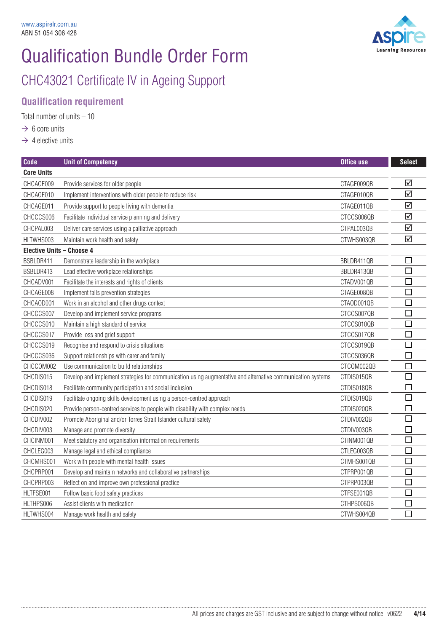

### CHC43021 Certificate IV in Ageing Support

**Qualification requirement**

Total number of units  $-10$ 

 $\rightarrow 6$  core units

 $\rightarrow$  4 elective units

| Code                      | <b>Unit of Competency</b>                                                                                   | <b>Office use</b> | <b>Select</b>               |
|---------------------------|-------------------------------------------------------------------------------------------------------------|-------------------|-----------------------------|
| <b>Core Units</b>         |                                                                                                             |                   |                             |
| CHCAGE009                 | Provide services for older people                                                                           | CTAGE009QB        | ☑                           |
| CHCAGE010                 | Implement interventions with older people to reduce risk                                                    | CTAGE010QB        | ☑                           |
| CHCAGE011                 | Provide support to people living with dementia                                                              | CTAGE011QB        | $\blacktriangledown$        |
| CHCCCS006                 | Facilitate individual service planning and delivery                                                         | CTCCS006QB        | ☑                           |
| CHCPAL003                 | Deliver care services using a palliative approach                                                           | CTPAL003QB        | ☑                           |
| HLTWHS003                 | Maintain work health and safety                                                                             | CTWHS003QB        | ☑                           |
| Elective Units - Choose 4 |                                                                                                             |                   |                             |
| BSBLDR411                 | Demonstrate leadership in the workplace                                                                     | BBLDR411QB        | $\mathcal{L}_{\mathcal{A}}$ |
| BSBLDR413                 | Lead effective workplace relationships                                                                      | BBLDR413QB        | $\Box$                      |
| CHCADV001                 | Facilitate the interests and rights of clients                                                              | CTADV001QB        | $\Box$                      |
| CHCAGE008                 | Implement falls prevention strategies                                                                       | CTAGE008QB        | □                           |
| CHCAOD001                 | Work in an alcohol and other drugs context                                                                  | CTAOD001QB        | □                           |
| CHCCCS007                 | Develop and implement service programs                                                                      | CTCCS007QB        | $\Box$                      |
| CHCCCS010                 | Maintain a high standard of service                                                                         | CTCCS010QB        | $\Box$                      |
| CHCCCS017                 | Provide loss and grief support                                                                              | CTCCS017QB        | $\Box$                      |
| CHCCCS019                 | Recognise and respond to crisis situations                                                                  | CTCCS019QB        | $\Box$                      |
| CHCCCS036                 | Support relationships with carer and family                                                                 | CTCCS036QB        | П                           |
| CHCCOM002                 | Use communication to build relationships                                                                    | CTCOM002QB        | $\Box$                      |
| CHCDIS015                 | Develop and implement strategies for communication using augmentative and alternative communication systems | CTDIS015QB        | $\overline{\phantom{0}}$    |
| CHCDIS018                 | Facilitate community participation and social inclusion                                                     | CTDIS018QB        | $\Box$                      |
| CHCDIS019                 | Facilitate ongoing skills development using a person-centred approach                                       | CTDIS019QB        | $\Box$                      |
| CHCDIS020                 | Provide person-centred services to people with disability with complex needs                                | CTDIS020QB        | $\Box$                      |
| CHCDIV002                 | Promote Aboriginal and/or Torres Strait Islander cultural safety                                            | CTDIV002QB        | $\Box$                      |
| CHCDIV003                 | Manage and promote diversity                                                                                | CTDIV003QB        | $\Box$                      |
| CHCINM001                 | Meet statutory and organisation information requirements                                                    | CTINM001QB        | $\Box$                      |
| CHCLEG003                 | Manage legal and ethical compliance                                                                         | CTLEG003QB        | $\Box$                      |
| CHCMHS001                 | Work with people with mental health issues                                                                  | CTMHS001QB        | $\Box$                      |
| CHCPRP001                 | Develop and maintain networks and collaborative partnerships                                                | CTPRP001QB        | $\Box$                      |
| CHCPRP003                 | Reflect on and improve own professional practice                                                            | CTPRP003QB        | $\Box$                      |
| HLTFSE001                 | Follow basic food safety practices                                                                          | CTFSE001QB        | $\Box$                      |
| HLTHPS006                 | Assist clients with medication                                                                              | CTHPS006QB        | $\Box$                      |
| HLTWHS004                 | Manage work health and safety                                                                               | CTWHS004QB        | П                           |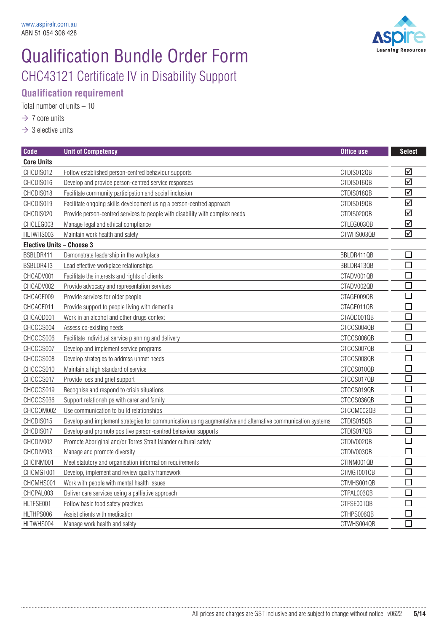

## Qualification Bundle Order Form CHC43121 Certificate IV in Disability Support

### **Qualification requirement**

Total number of units – 10

 $\rightarrow$  7 core units

#### $\rightarrow$  3 elective units

| Code                      | <b>Unit of Competency</b>                                                                                   | <b>Office use</b> | <b>Select</b> |
|---------------------------|-------------------------------------------------------------------------------------------------------------|-------------------|---------------|
| <b>Core Units</b>         |                                                                                                             |                   |               |
| CHCDIS012                 | Follow established person-centred behaviour supports                                                        | CTDIS012QB        | ☑             |
| CHCDIS016                 | Develop and provide person-centred service responses                                                        | CTDIS016QB        | ☑             |
| CHCDIS018                 | Facilitate community participation and social inclusion                                                     | CTDIS018QB        | ☑             |
| CHCDIS019                 | Facilitate ongoing skills development using a person-centred approach                                       | CTDIS019QB        | ☑             |
| CHCDIS020                 | Provide person-centred services to people with disability with complex needs                                | CTDIS020QB        | ☑             |
| CHCLEG003                 | Manage legal and ethical compliance                                                                         | CTLEG003QB        | ☑             |
| HLTWHS003                 | Maintain work health and safety                                                                             | CTWHS003QB        | ☑             |
| Elective Units - Choose 3 |                                                                                                             |                   |               |
| BSBLDR411                 | Demonstrate leadership in the workplace                                                                     | BBLDR411QB        | □             |
| BSBLDR413                 | Lead effective workplace relationships                                                                      | BBLDR413QB        | $\Box$        |
| CHCADV001                 | Facilitate the interests and rights of clients                                                              | CTADV001QB        | П             |
| CHCADV002                 | Provide advocacy and representation services                                                                | CTADV002QB        | $\Box$        |
| CHCAGE009                 | Provide services for older people                                                                           | CTAGE009QB        | $\Box$        |
| CHCAGE011                 | Provide support to people living with dementia                                                              | CTAGE011QB        | П             |
| CHCAOD001                 | Work in an alcohol and other drugs context                                                                  | CTAOD001QB        | $\Box$        |
| CHCCCS004                 | Assess co-existing needs                                                                                    | CTCCS004QB        | $\Box$        |
| CHCCCS006                 | Facilitate individual service planning and delivery                                                         | CTCCS006QB        | $\Box$        |
| CHCCCS007                 | Develop and implement service programs                                                                      | CTCCS007QB        | $\Box$        |
| CHCCCS008                 | Develop strategies to address unmet needs                                                                   | CTCCS008QB        | $\Box$        |
| CHCCCS010                 | Maintain a high standard of service                                                                         | CTCCS010QB        | $\Box$        |
| CHCCCS017                 | Provide loss and grief support                                                                              | CTCCS017QB        | П             |
| CHCCCS019                 | Recognise and respond to crisis situations                                                                  | CTCCS019QB        | П             |
| CHCCCS036                 | Support relationships with carer and family                                                                 | CTCCS036QB        | $\Box$        |
| CHCCOM002                 | Use communication to build relationships                                                                    | CTCOM002QB        | $\Box$        |
| CHCDIS015                 | Develop and implement strategies for communication using augmentative and alternative communication systems | CTDIS015QB        | □             |
| CHCDIS017                 | Develop and promote positive person-centred behaviour supports                                              | CTDIS017QB        | $\Box$        |
| CHCDIV002                 | Promote Aboriginal and/or Torres Strait Islander cultural safety                                            | CTDIV002QB        | $\Box$        |
| CHCDIV003                 | Manage and promote diversity                                                                                | CTDIV003QB        | $\Box$        |
| CHCINM001                 | Meet statutory and organisation information requirements                                                    | CTINM001QB        | П             |
| CHCMGT001                 | Develop, implement and review quality framework                                                             | CTMGT001QB        | $\Box$        |
| CHCMHS001                 | Work with people with mental health issues                                                                  | CTMHS001QB        | $\Box$        |
| CHCPAL003                 | Deliver care services using a palliative approach                                                           | CTPAL003QB        | $\Box$        |
| HLTFSE001                 | Follow basic food safety practices                                                                          | CTFSE001QB        | $\Box$        |
| HLTHPS006                 | Assist clients with medication                                                                              | CTHPS006QB        | $\Box$        |
| HLTWHS004                 | Manage work health and safety                                                                               | CTWHS004QB        | $\Box$        |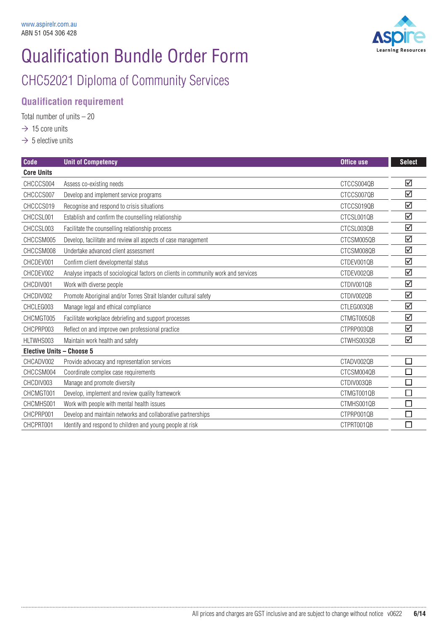

### CHC52021 Diploma of Community Services

**Qualification requirement**

Total number of units – 20

 $\rightarrow$  15 core units

 $\rightarrow$  5 elective units

| <b>Code</b>               | <b>Unit of Competency</b>                                                         | <b>Office use</b> | <b>Select</b>               |
|---------------------------|-----------------------------------------------------------------------------------|-------------------|-----------------------------|
| <b>Core Units</b>         |                                                                                   |                   |                             |
| CHCCCS004                 | Assess co-existing needs                                                          | CTCCS004QB        | ☑                           |
| CHCCCS007                 | Develop and implement service programs                                            | CTCCS007QB        | ☑                           |
| CHCCCS019                 | Recognise and respond to crisis situations                                        | CTCCS019QB        | ☑                           |
| CHCCSL001                 | Establish and confirm the counselling relationship                                | CTCSL001QB        | ☑                           |
| CHCCSL003                 | Facilitate the counselling relationship process                                   | CTCSL003QB        | ☑                           |
| CHCCSM005                 | Develop, facilitate and review all aspects of case management                     | CTCSM005QB        | ☑                           |
| CHCCSM008                 | Undertake advanced client assessment                                              | CTCSM008QB        | ☑                           |
| CHCDEV001                 | Confirm client developmental status                                               | CTDEV001QB        | ☑                           |
| CHCDEV002                 | Analyse impacts of sociological factors on clients in community work and services | CTDEV002QB        | ☑                           |
| CHCDIV001                 | Work with diverse people                                                          | CTDIV001QB        | ☑                           |
| CHCDIV002                 | Promote Aboriginal and/or Torres Strait Islander cultural safety                  | CTDIV002QB        | ☑                           |
| CHCLEG003                 | Manage legal and ethical compliance                                               | CTLEG003QB        | ☑                           |
| CHCMGT005                 | Facilitate workplace debriefing and support processes                             | CTMGT005QB        | ☑                           |
| CHCPRP003                 | Reflect on and improve own professional practice                                  | CTPRP003QB        | ☑                           |
| HLTWHS003                 | Maintain work health and safety                                                   | CTWHS003QB        | ☑                           |
| Elective Units - Choose 5 |                                                                                   |                   |                             |
| CHCADV002                 | Provide advocacy and representation services                                      | CTADV002QB        | П                           |
| CHCCSM004                 | Coordinate complex case requirements                                              | CTCSM004QB        | $\mathcal{L}_{\mathcal{A}}$ |
| CHCDIV003                 | Manage and promote diversity                                                      | CTDIV003QB        | $\Box$                      |
| CHCMGT001                 | Develop, implement and review quality framework                                   | CTMGT001QB        | ℶ                           |
| CHCMHS001                 | Work with people with mental health issues                                        | CTMHS001QB        | П                           |
| CHCPRP001                 | Develop and maintain networks and collaborative partnerships                      | CTPRP001QB        |                             |
| CHCPRT001                 | Identify and respond to children and young people at risk                         | CTPRT001QB        | $\Box$                      |